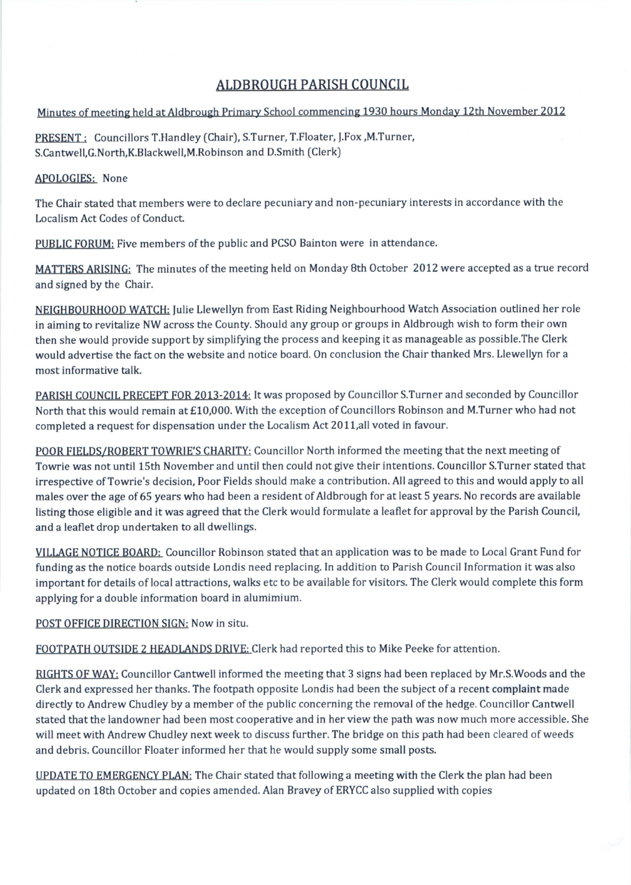## ALDBROUGH PARISH COUNCIL

## Minutes of meeting held at Aldbrough Primary School commencing 1930 hours Monday 12th November 2012

PRESENT : Councillors T.Handley (Chair), S.Turner, T.Floater, J.Fox, M.Turner, S.Cantwell,G.North,K.Blackwell,M.Robinson and D.Smith (Clerk)

## APOLOGIES: None

The Chair stated that members were to declare pecuniary and non-pecuniary interests in accordance with the Localism Act Codes of Conduct.

PUBLIC FORUM: Five members of the public and PCSO Bainton were in attendance.

MATTERS ARISING: The minutes of the meeting held on Monday 8th October 2012 were accepted as a true record and signed by the Chair.

NEIGHBOURHOOD WATCH: fulie Llewellyn from East Riding Neighbourhood Watch Association outlined her role in aiming to revitalize NW across the County. Should any group or groups in Aldbrough wish to form their own then she would provide support by simplifying the process and keeping it as manageable as possible.The Clerk would advertise the fact on the website and notice board. On conclusion the Chair thanked Mrs. Llewellyn for a most informative talk.

PARISH COUNCIL PRECEPT FOR 2013-2014: Itwas proposed by Councillor S.Turner and seconded by Councillor North that this would remain at £10,000. With the exception of Councillors Robinson and M.Turner who had not completed a request for dispensation under the Localism Act 2011,a11 voted in favour.

POOR FIELDS/ROBERT TOWRIE'S CHARITY: Councillor North informed the meeting that the next meeting of Towrie was not until 15th November and until then could not give their intentions. Councillor S.Turner stated that irrespective of Towrie's decision, Poor Fields should make a contribution. All agreed to this and would apply to all males over the age of 65 years who had been a resident of Aldbrough for at least 5 years. No records are available Iisting those eligible and it was agreed that the Clerk would formulate a leaflet for approval by the Parish Council, and a leaflet drop undertaken to all dwellings.

VILLAGE NOTICE BOARD: Councillor Robinson stated that an application was to be made to Local Grant Fund for funding as the notice boards outside Londis need replacing. In addition to Parish Council Information it was also important for details of local attractions, walks etc to be available for visitors. The Clerk would complete this form applying for a double information board in alumimium.

POST OFFICE DIRECTION SIGN: Now in situ.

FOOTPATH OUTSIDE 2 HEADLANDS DRIVE: Clerk had reported this to Mike Peeke for attention.

RIGHTS OF WAY: Councillor Cantwell informed the meeting that 3 signs had been replaced by Mr.S.Woods and the Clerk and expressed her thanks. The footpath opposite Londis had been the subiect of a recent complaint made directly to Andrew Chudley by a member of the public concerning the removal of the hedge. Councillor Cantwell stated that the landowner had been most cooperative and in her view the path was now much more accessible. She will meet with Andrew Chudley next week to discuss further. The bridge on this path had been cleared of weeds and debris. Councillor Floater informed her that he would supply some small posts.

UPDATE TO EMERGENCY PLAN: The Chair stated that following a meeting with the Clerk the plan had been updated on 18th October and copies amended. Alan Bravey of ERYCC also supplied with copies